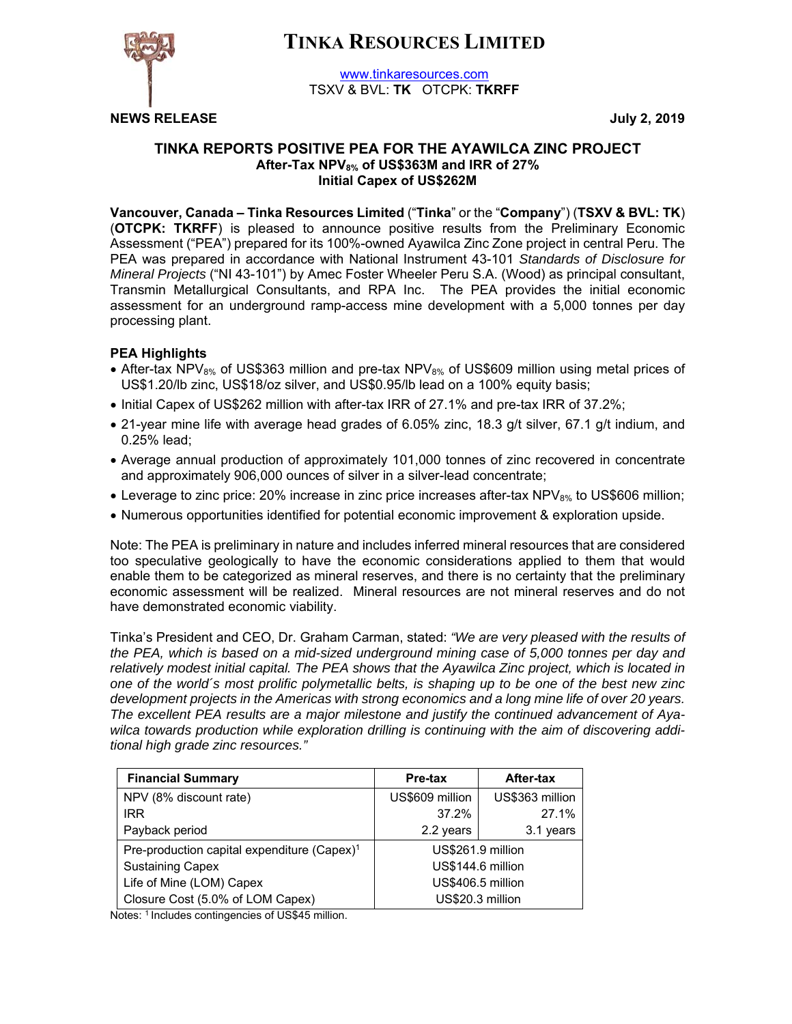# **TINKA RESOURCES LIMITED**



www.tinkaresources.com TSXV & BVL: **TK** OTCPK: **TKRFF**

**NEWS RELEASE July 2, 2019**

## **TINKA REPORTS POSITIVE PEA FOR THE AYAWILCA ZINC PROJECT After-Tax NPV8% of US\$363M and IRR of 27% Initial Capex of US\$262M**

**Vancouver, Canada – Tinka Resources Limited** ("**Tinka**" or the "**Company**") (**TSXV & BVL: TK**) (**OTCPK: TKRFF**) is pleased to announce positive results from the Preliminary Economic Assessment ("PEA") prepared for its 100%-owned Ayawilca Zinc Zone project in central Peru. The PEA was prepared in accordance with National Instrument 43-101 *Standards of Disclosure for Mineral Projects* ("NI 43-101") by Amec Foster Wheeler Peru S.A. (Wood) as principal consultant, Transmin Metallurgical Consultants, and RPA Inc. The PEA provides the initial economic assessment for an underground ramp-access mine development with a 5,000 tonnes per day processing plant.

## **PEA Highlights**

- After-tax NPV<sub>8%</sub> of US\$363 million and pre-tax NPV<sub>8%</sub> of US\$609 million using metal prices of US\$1.20/lb zinc, US\$18/oz silver, and US\$0.95/lb lead on a 100% equity basis;
- Initial Capex of US\$262 million with after-tax IRR of 27.1% and pre-tax IRR of 37.2%;
- 21-year mine life with average head grades of 6.05% zinc, 18.3 g/t silver, 67.1 g/t indium, and 0.25% lead;
- Average annual production of approximately 101,000 tonnes of zinc recovered in concentrate and approximately 906,000 ounces of silver in a silver-lead concentrate;
- Leverage to zinc price: 20% increase in zinc price increases after-tax  $NPV_{8\%}$  to US\$606 million;
- Numerous opportunities identified for potential economic improvement & exploration upside.

Note: The PEA is preliminary in nature and includes inferred mineral resources that are considered too speculative geologically to have the economic considerations applied to them that would enable them to be categorized as mineral reserves, and there is no certainty that the preliminary economic assessment will be realized. Mineral resources are not mineral reserves and do not have demonstrated economic viability.

Tinka's President and CEO, Dr. Graham Carman, stated: *"We are very pleased with the results of the PEA, which is based on a mid-sized underground mining case of 5,000 tonnes per day and relatively modest initial capital. The PEA shows that the Ayawilca Zinc project, which is located in one of the world´s most prolific polymetallic belts, is shaping up to be one of the best new zinc development projects in the Americas with strong economics and a long mine life of over 20 years. The excellent PEA results are a major milestone and justify the continued advancement of Ayawilca towards production while exploration drilling is continuing with the aim of discovering additional high grade zinc resources."* 

| <b>Financial Summary</b>                                | After-tax<br>Pre-tax |                 |  |  |
|---------------------------------------------------------|----------------------|-----------------|--|--|
| NPV (8% discount rate)                                  | US\$609 million      | US\$363 million |  |  |
| <b>IRR</b>                                              | 37.2%                | 27.1%           |  |  |
| Payback period                                          | 2.2 years            | 3.1 years       |  |  |
| Pre-production capital expenditure (Capex) <sup>1</sup> | US\$261.9 million    |                 |  |  |
| <b>Sustaining Capex</b>                                 | US\$144.6 million    |                 |  |  |
| Life of Mine (LOM) Capex                                | US\$406.5 million    |                 |  |  |
| Closure Cost (5.0% of LOM Capex)                        | US\$20.3 million     |                 |  |  |

Notes: <sup>1</sup> Includes contingencies of US\$45 million.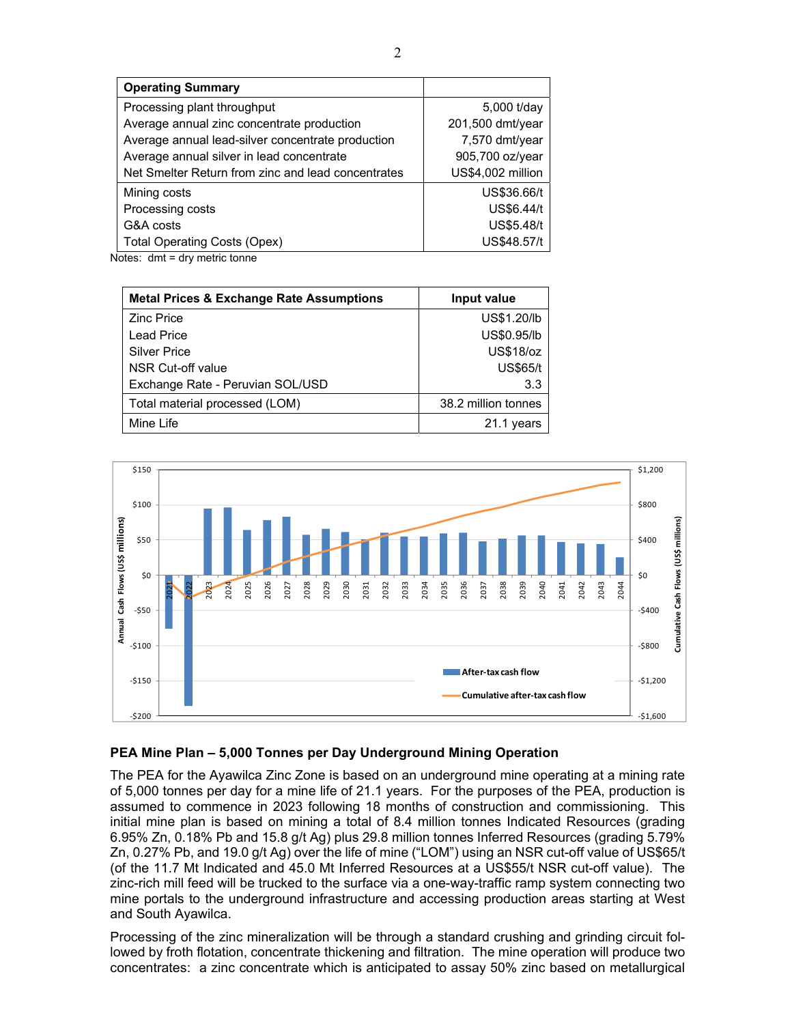| <b>Operating Summary</b>                           |                   |
|----------------------------------------------------|-------------------|
| Processing plant throughput                        | 5,000 t/day       |
| Average annual zinc concentrate production         | 201,500 dmt/year  |
| Average annual lead-silver concentrate production  | 7,570 dmt/year    |
| Average annual silver in lead concentrate          | 905,700 oz/year   |
| Net Smelter Return from zinc and lead concentrates | US\$4,002 million |
| Mining costs                                       | US\$36.66/t       |
| Processing costs                                   | US\$6.44/t        |
| G&A costs                                          | <b>US\$5.48/t</b> |
| <b>Total Operating Costs (Opex)</b>                | US\$48.57/t       |

Notes: dmt = dry metric tonne

| <b>Metal Prices &amp; Exchange Rate Assumptions</b> | Input value         |
|-----------------------------------------------------|---------------------|
| <b>Zinc Price</b>                                   | US\$1.20/lb         |
| Lead Price                                          | US\$0.95/lb         |
| <b>Silver Price</b>                                 | <b>US\$18/oz</b>    |
| NSR Cut-off value                                   | <b>US\$65/t</b>     |
| Exchange Rate - Peruvian SOL/USD                    | 3.3                 |
| Total material processed (LOM)                      | 38.2 million tonnes |
| Mine Life                                           | 21.1 years          |



## **PEA Mine Plan – 5,000 Tonnes per Day Underground Mining Operation**

The PEA for the Ayawilca Zinc Zone is based on an underground mine operating at a mining rate of 5,000 tonnes per day for a mine life of 21.1 years. For the purposes of the PEA, production is assumed to commence in 2023 following 18 months of construction and commissioning. This initial mine plan is based on mining a total of 8.4 million tonnes Indicated Resources (grading 6.95% Zn, 0.18% Pb and 15.8 g/t Ag) plus 29.8 million tonnes Inferred Resources (grading 5.79% Zn, 0.27% Pb, and 19.0 g/t Ag) over the life of mine ("LOM") using an NSR cut-off value of US\$65/t (of the 11.7 Mt Indicated and 45.0 Mt Inferred Resources at a US\$55/t NSR cut-off value). The zinc-rich mill feed will be trucked to the surface via a one-way-traffic ramp system connecting two mine portals to the underground infrastructure and accessing production areas starting at West and South Ayawilca.

Processing of the zinc mineralization will be through a standard crushing and grinding circuit followed by froth flotation, concentrate thickening and filtration. The mine operation will produce two concentrates: a zinc concentrate which is anticipated to assay 50% zinc based on metallurgical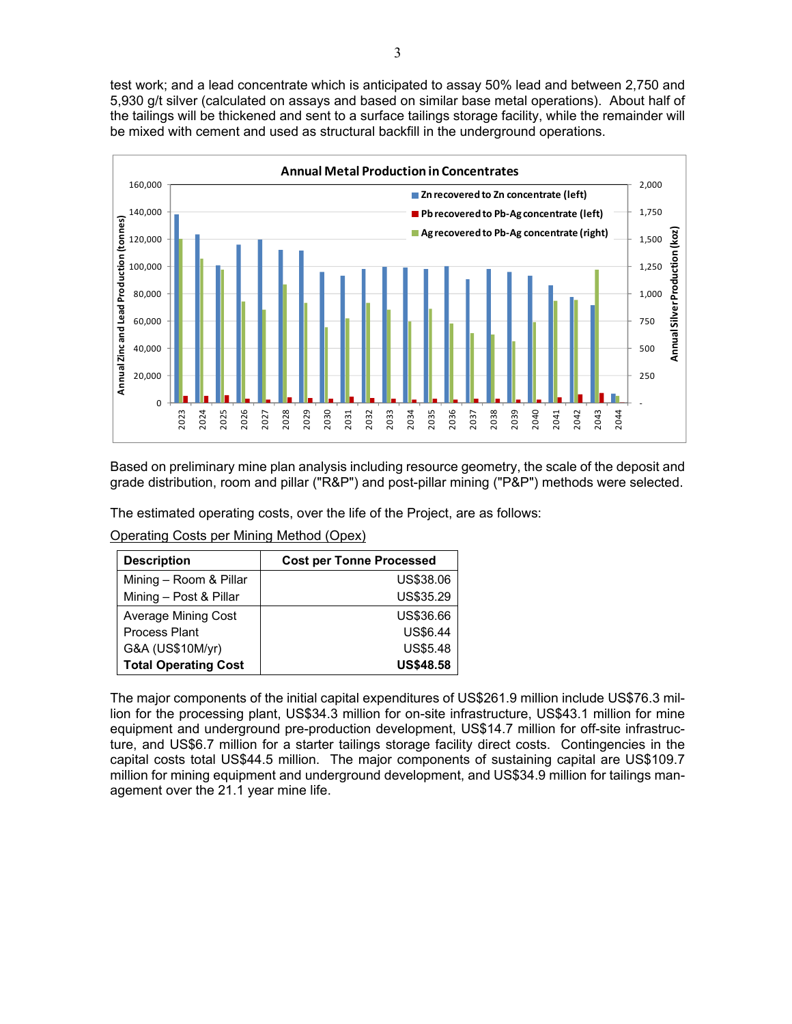test work; and a lead concentrate which is anticipated to assay 50% lead and between 2,750 and 5,930 g/t silver (calculated on assays and based on similar base metal operations). About half of the tailings will be thickened and sent to a surface tailings storage facility, while the remainder will be mixed with cement and used as structural backfill in the underground operations.



Based on preliminary mine plan analysis including resource geometry, the scale of the deposit and grade distribution, room and pillar ("R&P") and post-pillar mining ("P&P") methods were selected.

The estimated operating costs, over the life of the Project, are as follows:

Operating Costs per Mining Method (Opex)

| <b>Description</b>          | <b>Cost per Tonne Processed</b> |
|-----------------------------|---------------------------------|
| Mining - Room & Pillar      | US\$38.06                       |
| Mining - Post & Pillar      | US\$35.29                       |
| Average Mining Cost         | US\$36.66                       |
| <b>Process Plant</b>        | <b>US\$6.44</b>                 |
| G&A (US\$10M/yr)            | <b>US\$5.48</b>                 |
| <b>Total Operating Cost</b> | <b>US\$48.58</b>                |

The major components of the initial capital expenditures of US\$261.9 million include US\$76.3 million for the processing plant, US\$34.3 million for on-site infrastructure, US\$43.1 million for mine equipment and underground pre-production development, US\$14.7 million for off-site infrastructure, and US\$6.7 million for a starter tailings storage facility direct costs. Contingencies in the capital costs total US\$44.5 million. The major components of sustaining capital are US\$109.7 million for mining equipment and underground development, and US\$34.9 million for tailings management over the 21.1 year mine life.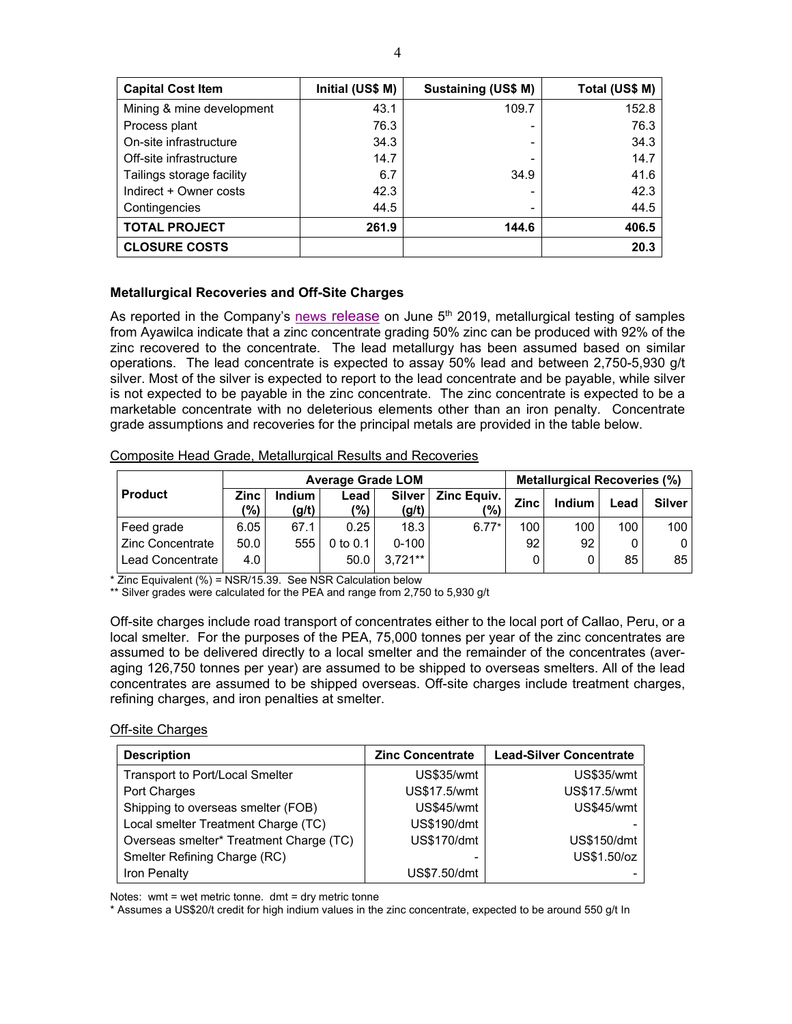| <b>Capital Cost Item</b>  | Initial (US\$ M) | Sustaining (US\$ M) | Total (US\$ M) |
|---------------------------|------------------|---------------------|----------------|
| Mining & mine development | 43.1             | 109.7               | 152.8          |
| Process plant             | 76.3             |                     | 76.3           |
| On-site infrastructure    | 34.3             |                     | 34.3           |
| Off-site infrastructure   | 14.7             |                     | 14.7           |
| Tailings storage facility | 6.7              | 34.9                | 41.6           |
| Indirect + Owner costs    | 42.3             |                     | 42.3           |
| Contingencies             | 44.5             |                     | 44.5           |
| <b>TOTAL PROJECT</b>      | 261.9            | 144.6               | 406.5          |
| <b>CLOSURE COSTS</b>      |                  |                     | 20.3           |

## **Metallurgical Recoveries and Off-Site Charges**

As reported in the Company's news release on June  $5<sup>th</sup>$  2019, metallurgical testing of samples from Ayawilca indicate that a zinc concentrate grading 50% zinc can be produced with 92% of the zinc recovered to the concentrate. The lead metallurgy has been assumed based on similar operations. The lead concentrate is expected to assay 50% lead and between 2,750-5,930 g/t silver. Most of the silver is expected to report to the lead concentrate and be payable, while silver is not expected to be payable in the zinc concentrate. The zinc concentrate is expected to be a marketable concentrate with no deleterious elements other than an iron penalty. Concentrate grade assumptions and recoveries for the principal metals are provided in the table below.

#### Composite Head Grade, Metallurgical Results and Recoveries

|                    | <b>Average Grade LOM</b> |                        |              |                        |                               | <b>Metallurgical Recoveries (%)</b> |        |      |               |
|--------------------|--------------------------|------------------------|--------------|------------------------|-------------------------------|-------------------------------------|--------|------|---------------|
| <b>Product</b>     | <b>Zinc</b><br>'%)       | <b>Indium</b><br>(g/t) | Lead<br>(%)  | <b>Silver</b><br>(g/t) | Zinc Equiv.<br>$\frac{10}{2}$ | <b>Zinc</b>                         | Indium | ∟ead | <b>Silver</b> |
| Feed grade         | 6.05                     | 67.1                   | 0.25         | 18.3                   | $6.77*$                       | 100                                 | 100    | 100  | 100           |
| l Zinc Concentrate | 50.0                     | 555                    | $0$ to $0.1$ | $0 - 100$              |                               | 92                                  | 92     |      | 0             |
| l Lead Concentrate | 4.0                      |                        | 50.0         | $3.721**$              |                               |                                     |        | 85   | 85            |

 $\overline{z}$  Zinc Equivalent (%) = NSR/15.39. See NSR Calculation below

\*\* Silver grades were calculated for the PEA and range from 2,750 to 5,930 g/t

Off-site charges include road transport of concentrates either to the local port of Callao, Peru, or a local smelter. For the purposes of the PEA, 75,000 tonnes per year of the zinc concentrates are assumed to be delivered directly to a local smelter and the remainder of the concentrates (averaging 126,750 tonnes per year) are assumed to be shipped to overseas smelters. All of the lead concentrates are assumed to be shipped overseas. Off-site charges include treatment charges, refining charges, and iron penalties at smelter.

#### Off-site Charges

| <b>Description</b>                      | <b>Zinc Concentrate</b> | <b>Lead-Silver Concentrate</b> |
|-----------------------------------------|-------------------------|--------------------------------|
| Transport to Port/Local Smelter         | US\$35/wmt              | <b>US\$35/wmt</b>              |
| Port Charges                            | US\$17.5/wmt            | US\$17.5/wmt                   |
| Shipping to overseas smelter (FOB)      | <b>US\$45/wmt</b>       | US\$45/wmt                     |
| Local smelter Treatment Charge (TC)     | US\$190/dmt             |                                |
| Overseas smelter* Treatment Charge (TC) | <b>US\$170/dmt</b>      | <b>US\$150/dmt</b>             |
| Smelter Refining Charge (RC)            |                         | US\$1.50/oz                    |
| Iron Penalty                            | US\$7.50/dmt            |                                |

Notes: wmt = wet metric tonne. dmt = dry metric tonne

\* Assumes a US\$20/t credit for high indium values in the zinc concentrate, expected to be around 550 g/t In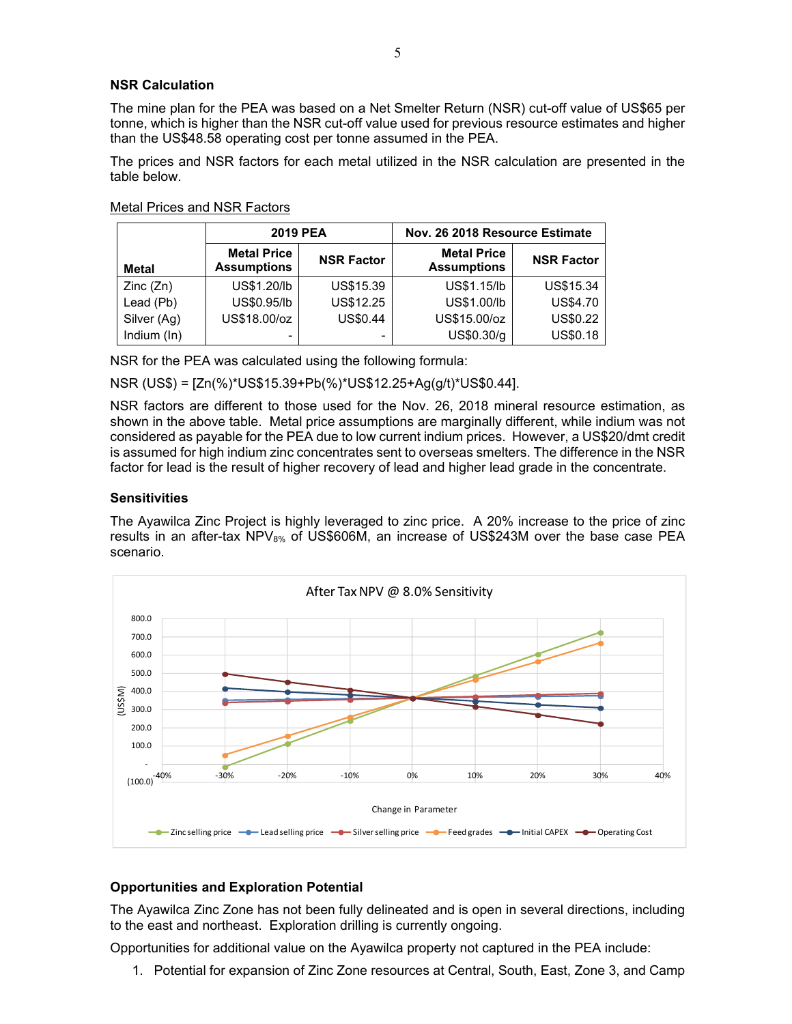#### **NSR Calculation**

The mine plan for the PEA was based on a Net Smelter Return (NSR) cut-off value of US\$65 per tonne, which is higher than the NSR cut-off value used for previous resource estimates and higher than the US\$48.58 operating cost per tonne assumed in the PEA.

The prices and NSR factors for each metal utilized in the NSR calculation are presented in the table below.

|             | <b>2019 PEA</b>                          | Nov. 26 2018 Resource Estimate |                                          |                   |  |
|-------------|------------------------------------------|--------------------------------|------------------------------------------|-------------------|--|
| Metal       | <b>Metal Price</b><br><b>Assumptions</b> | <b>NSR Factor</b>              | <b>Metal Price</b><br><b>Assumptions</b> | <b>NSR Factor</b> |  |
| Zinc (Zn)   | US\$1.20/lb                              | US\$15.39                      | US\$1.15/lb                              | <b>US\$15.34</b>  |  |
| Lead (Pb)   | US\$0.95/lb                              | US\$12.25                      | US\$1.00/lb                              | <b>US\$4.70</b>   |  |
| Silver (Ag) | US\$18.00/oz                             | <b>US\$0.44</b>                | US\$15.00/oz                             | US\$0.22          |  |
| Indium (In) | -                                        |                                | US\$0.30/g                               | <b>US\$0.18</b>   |  |

NSR for the PEA was calculated using the following formula:

NSR (US\$) = [Zn(%)\*US\$15.39+Pb(%)\*US\$12.25+Ag(g/t)\*US\$0.44].

NSR factors are different to those used for the Nov. 26, 2018 mineral resource estimation, as shown in the above table. Metal price assumptions are marginally different, while indium was not considered as payable for the PEA due to low current indium prices. However, a US\$20/dmt credit is assumed for high indium zinc concentrates sent to overseas smelters. The difference in the NSR factor for lead is the result of higher recovery of lead and higher lead grade in the concentrate.

#### **Sensitivities**

The Ayawilca Zinc Project is highly leveraged to zinc price. A 20% increase to the price of zinc results in an after-tax  $NPV_{8\%}$  of US\$606M, an increase of US\$243M over the base case PEA scenario.



## **Opportunities and Exploration Potential**

The Ayawilca Zinc Zone has not been fully delineated and is open in several directions, including to the east and northeast. Exploration drilling is currently ongoing.

Opportunities for additional value on the Ayawilca property not captured in the PEA include:

1. Potential for expansion of Zinc Zone resources at Central, South, East, Zone 3, and Camp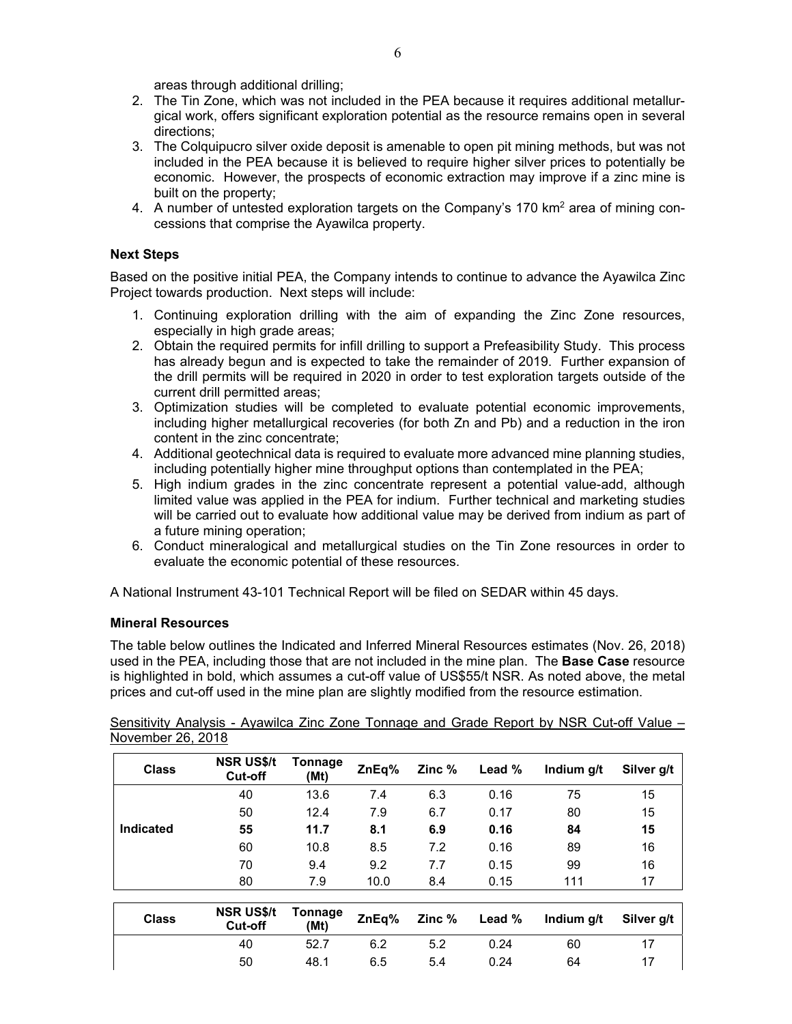areas through additional drilling;

- 2. The Tin Zone, which was not included in the PEA because it requires additional metallurgical work, offers significant exploration potential as the resource remains open in several directions;
- 3. The Colquipucro silver oxide deposit is amenable to open pit mining methods, but was not included in the PEA because it is believed to require higher silver prices to potentially be economic. However, the prospects of economic extraction may improve if a zinc mine is built on the property;
- 4. A number of untested exploration targets on the Company's 170 km<sup>2</sup> area of mining concessions that comprise the Ayawilca property.

#### **Next Steps**

Based on the positive initial PEA, the Company intends to continue to advance the Ayawilca Zinc Project towards production. Next steps will include:

- 1. Continuing exploration drilling with the aim of expanding the Zinc Zone resources, especially in high grade areas;
- 2. Obtain the required permits for infill drilling to support a Prefeasibility Study. This process has already begun and is expected to take the remainder of 2019. Further expansion of the drill permits will be required in 2020 in order to test exploration targets outside of the current drill permitted areas;
- 3. Optimization studies will be completed to evaluate potential economic improvements, including higher metallurgical recoveries (for both Zn and Pb) and a reduction in the iron content in the zinc concentrate;
- 4. Additional geotechnical data is required to evaluate more advanced mine planning studies, including potentially higher mine throughput options than contemplated in the PEA;
- 5. High indium grades in the zinc concentrate represent a potential value-add, although limited value was applied in the PEA for indium. Further technical and marketing studies will be carried out to evaluate how additional value may be derived from indium as part of a future mining operation;
- 6. Conduct mineralogical and metallurgical studies on the Tin Zone resources in order to evaluate the economic potential of these resources.

A National Instrument 43-101 Technical Report will be filed on SEDAR within 45 days.

## **Mineral Resources**

The table below outlines the Indicated and Inferred Mineral Resources estimates (Nov. 26, 2018) used in the PEA, including those that are not included in the mine plan. The **Base Case** resource is highlighted in bold, which assumes a cut-off value of US\$55/t NSR. As noted above, the metal prices and cut-off used in the mine plan are slightly modified from the resource estimation.

Sensitivity Analysis - Ayawilca Zinc Zone Tonnage and Grade Report by NSR Cut-off Value – November 26, 2018

| <b>Class</b>     | <b>NSR US\$/t</b><br>Cut-off | Tonnage<br>(Mt) | ZnEq% | Zinc $%$     | Lead %      | Indium g/t | Silver g/t |
|------------------|------------------------------|-----------------|-------|--------------|-------------|------------|------------|
|                  | 40                           | 13.6            | 7.4   | 6.3          | 0.16        | 75         | 15         |
|                  | 50                           | 12.4            | 7.9   | 6.7          | 0.17        | 80         | 15         |
| <b>Indicated</b> | 55                           | 11.7            | 8.1   | 6.9          | 0.16        | 84         | 15         |
|                  | 60                           | 10.8            | 8.5   | 7.2          | 0.16        | 89         | 16         |
|                  | 70                           | 9.4             | 9.2   | 7.7          | 0.15        | 99         | 16         |
|                  | 80                           | 7.9             | 10.0  | 8.4          | 0.15        | 111        | 17         |
|                  |                              |                 |       |              |             |            |            |
| Class            | <b>NSR US\$/t</b>            | Tonnage         | 7nEn% | $\sum$ inc % | $\sim$ heal | Indium alt | Silvor a/t |

| <b>Class</b> | NSR US\$/t Tonnage<br><b>Cut-off</b> | (Mt) |     |     |      | $ZnEq%$ Zinc % Lead % Indium g/t Silver g/t |  |
|--------------|--------------------------------------|------|-----|-----|------|---------------------------------------------|--|
|              | 40                                   | 52.7 | 6.2 | 5.2 | 0.24 | 60                                          |  |
|              | 50                                   | 48.1 | 6.5 | 5.4 | 0.24 | 64                                          |  |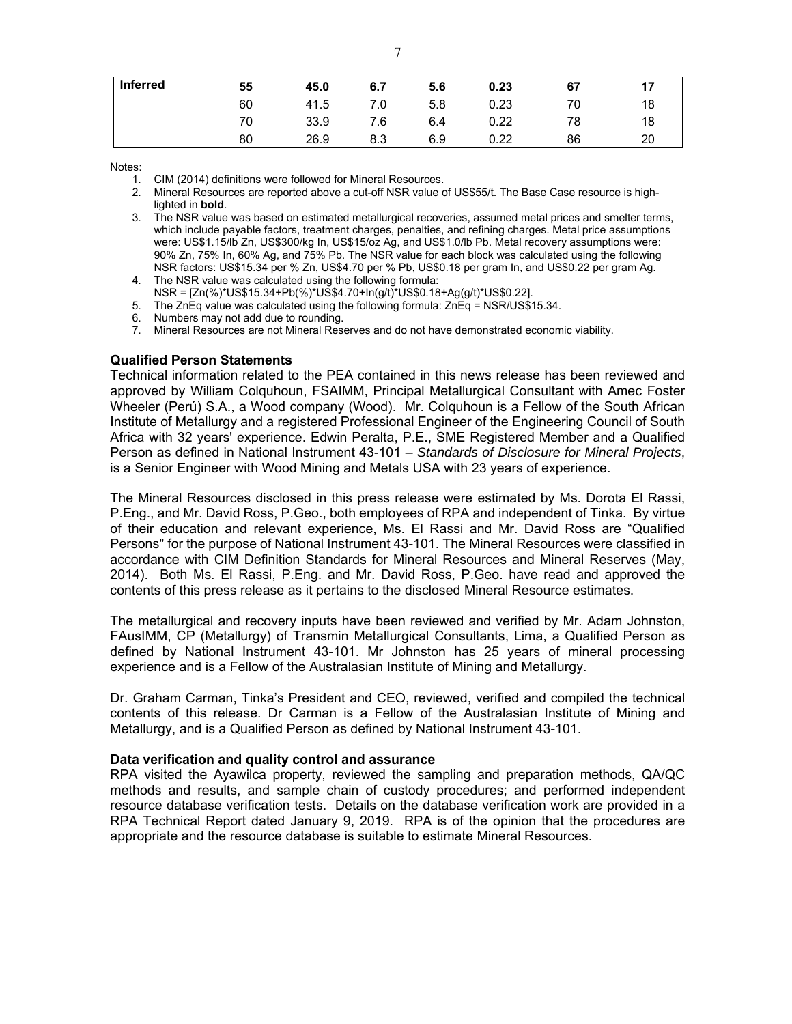| Inferred | 55 | 45.0 | 6.7 | 5.6 | 0.23 | 67 | 17 |
|----------|----|------|-----|-----|------|----|----|
|          | 60 | 41.5 | 7.0 | 5.8 | 0.23 | 70 | 18 |
|          | 70 | 33.9 | 7.6 | 6.4 | 0.22 | 78 | 18 |
|          | 80 | 26.9 | 8.3 | 6.9 | 0.22 | 86 | 20 |

Notes:

- 1. CIM (2014) definitions were followed for Mineral Resources.
- 2. Mineral Resources are reported above a cut-off NSR value of US\$55/t. The Base Case resource is highlighted in **bold**.
- 3. The NSR value was based on estimated metallurgical recoveries, assumed metal prices and smelter terms, which include payable factors, treatment charges, penalties, and refining charges. Metal price assumptions were: US\$1.15/lb Zn, US\$300/kg In, US\$15/oz Ag, and US\$1.0/lb Pb. Metal recovery assumptions were: 90% Zn, 75% In, 60% Ag, and 75% Pb. The NSR value for each block was calculated using the following NSR factors: US\$15.34 per % Zn, US\$4.70 per % Pb, US\$0.18 per gram In, and US\$0.22 per gram Ag. 4. The NSR value was calculated using the following formula:
- NSR = [Zn(%)\*US\$15.34+Pb(%)\*US\$4.70+In(g/t)\*US\$0.18+Ag(g/t)\*US\$0.22].
- 5. The ZnEq value was calculated using the following formula: ZnEq = NSR/US\$15.34.
- 6. Numbers may not add due to rounding.
- 7. Mineral Resources are not Mineral Reserves and do not have demonstrated economic viability.

#### **Qualified Person Statements**

Technical information related to the PEA contained in this news release has been reviewed and approved by William Colquhoun, FSAIMM, Principal Metallurgical Consultant with Amec Foster Wheeler (Perú) S.A., a Wood company (Wood). Mr. Colquhoun is a Fellow of the South African Institute of Metallurgy and a registered Professional Engineer of the Engineering Council of South Africa with 32 years' experience. Edwin Peralta, P.E., SME Registered Member and a Qualified Person as defined in National Instrument 43-101 – *Standards of Disclosure for Mineral Projects*, is a Senior Engineer with Wood Mining and Metals USA with 23 years of experience.

The Mineral Resources disclosed in this press release were estimated by Ms. Dorota El Rassi, P.Eng., and Mr. David Ross, P.Geo., both employees of RPA and independent of Tinka. By virtue of their education and relevant experience, Ms. El Rassi and Mr. David Ross are "Qualified Persons" for the purpose of National Instrument 43-101. The Mineral Resources were classified in accordance with CIM Definition Standards for Mineral Resources and Mineral Reserves (May, 2014). Both Ms. El Rassi, P.Eng. and Mr. David Ross, P.Geo. have read and approved the contents of this press release as it pertains to the disclosed Mineral Resource estimates.

The metallurgical and recovery inputs have been reviewed and verified by Mr. Adam Johnston, FAusIMM, CP (Metallurgy) of Transmin Metallurgical Consultants, Lima, a Qualified Person as defined by National Instrument 43-101. Mr Johnston has 25 years of mineral processing experience and is a Fellow of the Australasian Institute of Mining and Metallurgy.

Dr. Graham Carman, Tinka's President and CEO, reviewed, verified and compiled the technical contents of this release. Dr Carman is a Fellow of the Australasian Institute of Mining and Metallurgy, and is a Qualified Person as defined by National Instrument 43-101.

#### **Data verification and quality control and assurance**

RPA visited the Ayawilca property, reviewed the sampling and preparation methods, QA/QC methods and results, and sample chain of custody procedures; and performed independent resource database verification tests. Details on the database verification work are provided in a RPA Technical Report dated January 9, 2019. RPA is of the opinion that the procedures are appropriate and the resource database is suitable to estimate Mineral Resources.